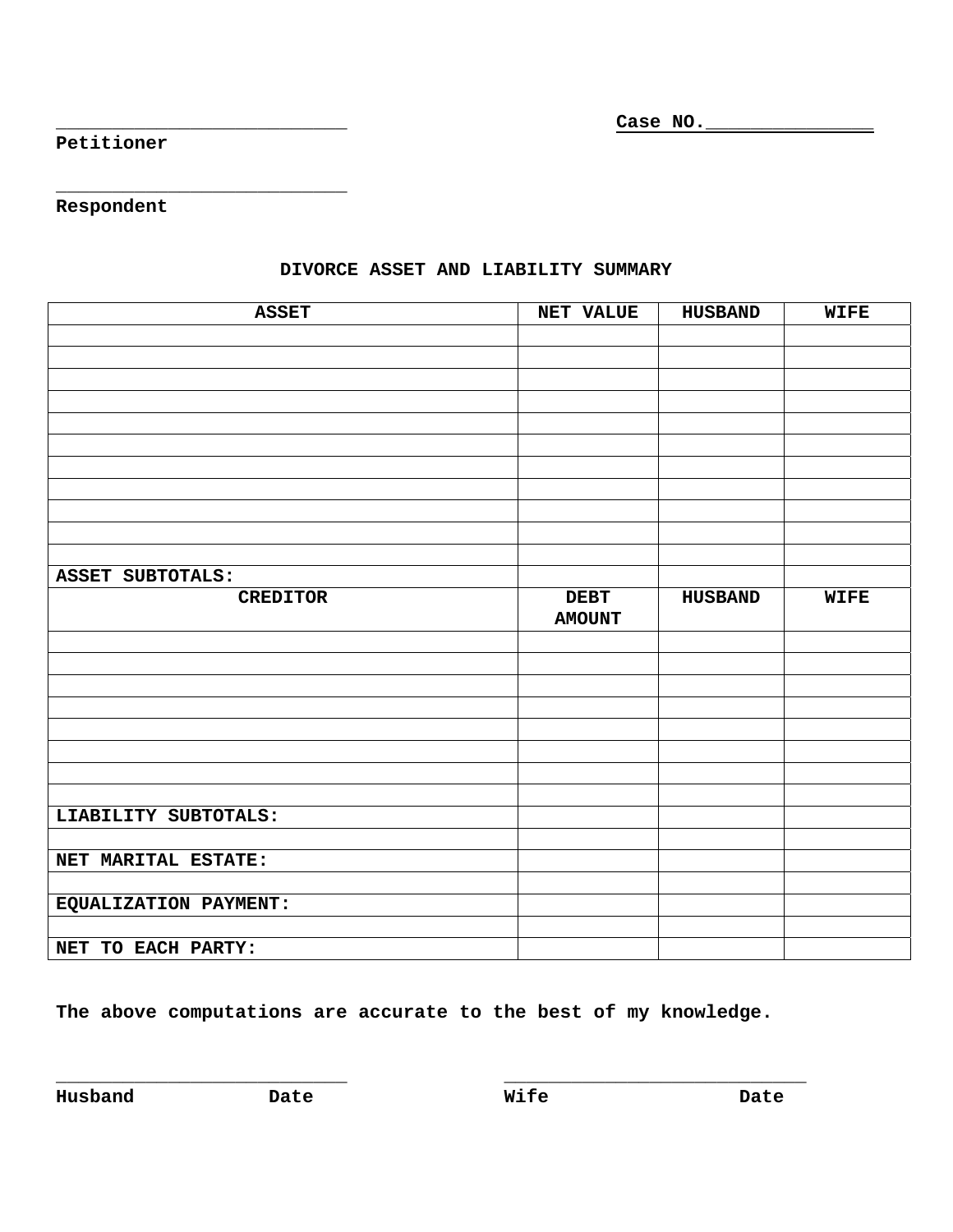**\_\_\_\_\_\_\_\_\_\_\_\_\_\_\_\_\_\_\_\_\_\_\_\_\_\_ Case NO.\_\_\_\_\_\_\_\_\_\_\_\_\_\_\_**

**Petitioner** 

**Respondent** 

**\_\_\_\_\_\_\_\_\_\_\_\_\_\_\_\_\_\_\_\_\_\_\_\_\_\_** 

| <b>ASSET</b>          | <b>NET VALUE</b>             | <b>HUSBAND</b> | <b>WIFE</b> |
|-----------------------|------------------------------|----------------|-------------|
|                       |                              |                |             |
|                       |                              |                |             |
|                       |                              |                |             |
|                       |                              |                |             |
|                       |                              |                |             |
|                       |                              |                |             |
|                       |                              |                |             |
|                       |                              |                |             |
|                       |                              |                |             |
|                       |                              |                |             |
|                       |                              |                |             |
| ASSET SUBTOTALS:      |                              |                |             |
| <b>CREDITOR</b>       | <b>DEBT</b><br><b>AMOUNT</b> | <b>HUSBAND</b> | <b>WIFE</b> |
|                       |                              |                |             |
|                       |                              |                |             |
|                       |                              |                |             |
|                       |                              |                |             |
|                       |                              |                |             |
|                       |                              |                |             |
|                       |                              |                |             |
|                       |                              |                |             |
| LIABILITY SUBTOTALS:  |                              |                |             |
|                       |                              |                |             |
| NET MARITAL ESTATE:   |                              |                |             |
|                       |                              |                |             |
| EQUALIZATION PAYMENT: |                              |                |             |
|                       |                              |                |             |
| NET TO EACH PARTY:    |                              |                |             |

## **DIVORCE ASSET AND LIABILITY SUMMARY**

**The above computations are accurate to the best of my knowledge.** 

**Husband Date Wife Date**